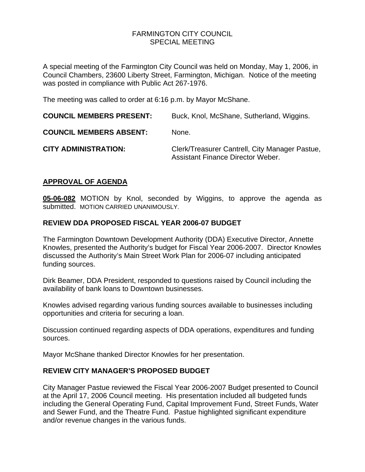## FARMINGTON CITY COUNCILSPECIAL MEETING

A special meeting of the Farmington City Council was held on Monday, May 1, 2006, in Council Chambers, 23600 Liberty Street, Farmington, Michigan. Notice of the meeting was posted in compliance with Public Act 267-1976.

The meeting was called to order at 6:16 p.m. by Mayor McShane.

| <b>COUNCIL MEMBERS PRESENT:</b> | Buck, Knol, McShane, Sutherland, Wiggins.                                           |
|---------------------------------|-------------------------------------------------------------------------------------|
| <b>COUNCIL MEMBERS ABSENT:</b>  | None.                                                                               |
| <b>CITY ADMINISTRATION:</b>     | Clerk/Treasurer Cantrell, City Manager Pastue,<br>Assistant Finance Director Weber. |

# **APPROVAL OF AGENDA**

**05-06-082** MOTION by Knol, seconded by Wiggins, to approve the agenda as submitted. MOTION CARRIED UNANIMOUSLY.

## **REVIEW DDA PROPOSED FISCAL YEAR 2006-07 BUDGET**

The Farmington Downtown Development Authority (DDA) Executive Director, Annette Knowles, presented the Authority's budget for Fiscal Year 2006-2007. Director Knowles discussed the Authority's Main Street Work Plan for 2006-07 including anticipated funding sources.

Dirk Beamer, DDA President, responded to questions raised by Council including the availability of bank loans to Downtown businesses.

Knowles advised regarding various funding sources available to businesses including opportunities and criteria for securing a loan.

Discussion continued regarding aspects of DDA operations, expenditures and funding sources.

Mayor McShane thanked Director Knowles for her presentation.

## **REVIEW CITY MANAGER'S PROPOSED BUDGET**

City Manager Pastue reviewed the Fiscal Year 2006-2007 Budget presented to Council at the April 17, 2006 Council meeting. His presentation included all budgeted funds including the General Operating Fund, Capital Improvement Fund, Street Funds, Water and Sewer Fund, and the Theatre Fund. Pastue highlighted significant expenditure and/or revenue changes in the various funds.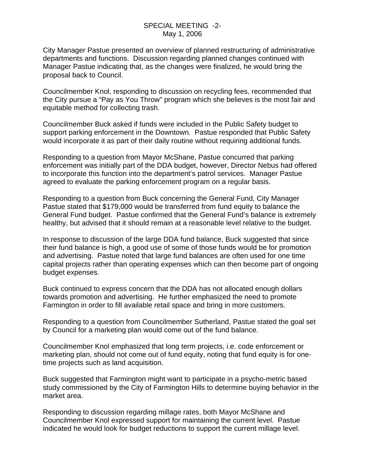### SPECIAL MEETING -2- May 1, 2006

City Manager Pastue presented an overview of planned restructuring of administrative departments and functions. Discussion regarding planned changes continued with Manager Pastue indicating that, as the changes were finalized, he would bring the proposal back to Council.

Councilmember Knol, responding to discussion on recycling fees, recommended that the City pursue a "Pay as You Throw" program which she believes is the most fair and equitable method for collecting trash.

Councilmember Buck asked if funds were included in the Public Safety budget to support parking enforcement in the Downtown. Pastue responded that Public Safety would incorporate it as part of their daily routine without requiring additional funds.

Responding to a question from Mayor McShane, Pastue concurred that parking enforcement was initially part of the DDA budget, however, Director Nebus had offered to incorporate this function into the department's patrol services. Manager Pastue agreed to evaluate the parking enforcement program on a regular basis.

Responding to a question from Buck concerning the General Fund, City Manager Pastue stated that \$179,000 would be transferred from fund equity to balance the General Fund budget. Pastue confirmed that the General Fund's balance is extremely healthy, but advised that it should remain at a reasonable level relative to the budget.

In response to discussion of the large DDA fund balance, Buck suggested that since their fund balance is high, a good use of some of those funds would be for promotion and advertising. Pastue noted that large fund balances are often used for one time capital projects rather than operating expenses which can then become part of ongoing budget expenses.

Buck continued to express concern that the DDA has not allocated enough dollars towards promotion and advertising. He further emphasized the need to promote Farmington in order to fill available retail space and bring in more customers.

Responding to a question from Councilmember Sutherland, Pastue stated the goal set by Council for a marketing plan would come out of the fund balance.

Councilmember Knol emphasized that long term projects, i.e. code enforcement or marketing plan, should not come out of fund equity, noting that fund equity is for onetime projects such as land acquisition.

Buck suggested that Farmington might want to participate in a psycho-metric based study commissioned by the City of Farmington Hills to determine buying behavior in the market area.

Responding to discussion regarding millage rates, both Mayor McShane and Councilmember Knol expressed support for maintaining the current level. Pastue indicated he would look for budget reductions to support the current millage level.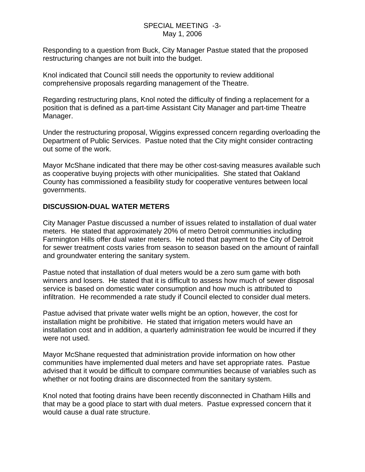### SPECIAL MEETING -3- May 1, 2006

Responding to a question from Buck, City Manager Pastue stated that the proposed restructuring changes are not built into the budget.

Knol indicated that Council still needs the opportunity to review additional comprehensive proposals regarding management of the Theatre.

Regarding restructuring plans, Knol noted the difficulty of finding a replacement for a position that is defined as a part-time Assistant City Manager and part-time Theatre Manager.

Under the restructuring proposal, Wiggins expressed concern regarding overloading the Department of Public Services. Pastue noted that the City might consider contracting out some of the work.

Mayor McShane indicated that there may be other cost-saving measures available such as cooperative buying projects with other municipalities. She stated that Oakland County has commissioned a feasibility study for cooperative ventures between local governments.

## **DISCUSSION-DUAL WATER METERS**

City Manager Pastue discussed a number of issues related to installation of dual water meters. He stated that approximately 20% of metro Detroit communities including Farmington Hills offer dual water meters. He noted that payment to the City of Detroit for sewer treatment costs varies from season to season based on the amount of rainfall and groundwater entering the sanitary system.

Pastue noted that installation of dual meters would be a zero sum game with both winners and losers. He stated that it is difficult to assess how much of sewer disposal service is based on domestic water consumption and how much is attributed to infiltration. He recommended a rate study if Council elected to consider dual meters.

Pastue advised that private water wells might be an option, however, the cost for installation might be prohibitive. He stated that irrigation meters would have an installation cost and in addition, a quarterly administration fee would be incurred if they were not used.

Mayor McShane requested that administration provide information on how other communities have implemented dual meters and have set appropriate rates. Pastue advised that it would be difficult to compare communities because of variables such as whether or not footing drains are disconnected from the sanitary system.

Knol noted that footing drains have been recently disconnected in Chatham Hills and that may be a good place to start with dual meters. Pastue expressed concern that it would cause a dual rate structure.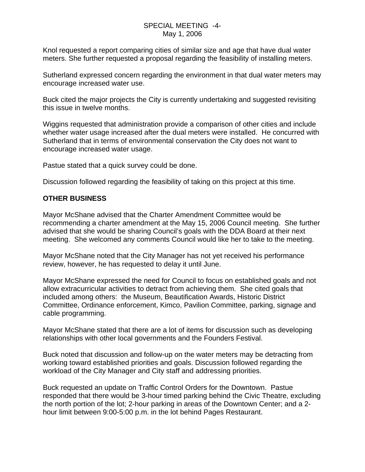### SPECIAL MEETING -4- May 1, 2006

Knol requested a report comparing cities of similar size and age that have dual water meters. She further requested a proposal regarding the feasibility of installing meters.

Sutherland expressed concern regarding the environment in that dual water meters may encourage increased water use.

Buck cited the major projects the City is currently undertaking and suggested revisiting this issue in twelve months.

Wiggins requested that administration provide a comparison of other cities and include whether water usage increased after the dual meters were installed. He concurred with Sutherland that in terms of environmental conservation the City does not want to encourage increased water usage.

Pastue stated that a quick survey could be done.

Discussion followed regarding the feasibility of taking on this project at this time.

# **OTHER BUSINESS**

Mayor McShane advised that the Charter Amendment Committee would be recommending a charter amendment at the May 15, 2006 Council meeting. She further advised that she would be sharing Council's goals with the DDA Board at their next meeting. She welcomed any comments Council would like her to take to the meeting.

Mayor McShane noted that the City Manager has not yet received his performance review, however, he has requested to delay it until June.

Mayor McShane expressed the need for Council to focus on established goals and not allow extracurricular activities to detract from achieving them. She cited goals that included among others: the Museum, Beautification Awards, Historic District Committee, Ordinance enforcement, Kimco, Pavilion Committee, parking, signage and cable programming.

Mayor McShane stated that there are a lot of items for discussion such as developing relationships with other local governments and the Founders Festival.

Buck noted that discussion and follow-up on the water meters may be detracting from working toward established priorities and goals. Discussion followed regarding the workload of the City Manager and City staff and addressing priorities.

Buck requested an update on Traffic Control Orders for the Downtown. Pastue responded that there would be 3-hour timed parking behind the Civic Theatre, excluding the north portion of the lot; 2-hour parking in areas of the Downtown Center; and a 2 hour limit between 9:00-5:00 p.m. in the lot behind Pages Restaurant.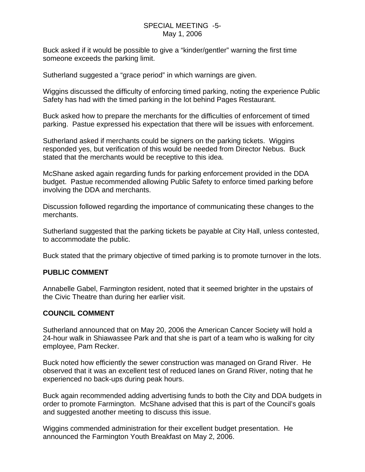## SPECIAL MEETING -5- May 1, 2006

Buck asked if it would be possible to give a "kinder/gentler" warning the first time someone exceeds the parking limit.

Sutherland suggested a "grace period" in which warnings are given.

Wiggins discussed the difficulty of enforcing timed parking, noting the experience Public Safety has had with the timed parking in the lot behind Pages Restaurant.

Buck asked how to prepare the merchants for the difficulties of enforcement of timed parking. Pastue expressed his expectation that there will be issues with enforcement.

Sutherland asked if merchants could be signers on the parking tickets. Wiggins responded yes, but verification of this would be needed from Director Nebus. Buck stated that the merchants would be receptive to this idea.

McShane asked again regarding funds for parking enforcement provided in the DDA budget. Pastue recommended allowing Public Safety to enforce timed parking before involving the DDA and merchants.

Discussion followed regarding the importance of communicating these changes to the merchants.

Sutherland suggested that the parking tickets be payable at City Hall, unless contested, to accommodate the public.

Buck stated that the primary objective of timed parking is to promote turnover in the lots.

## **PUBLIC COMMENT**

Annabelle Gabel, Farmington resident, noted that it seemed brighter in the upstairs of the Civic Theatre than during her earlier visit.

## **COUNCIL COMMENT**

Sutherland announced that on May 20, 2006 the American Cancer Society will hold a 24-hour walk in Shiawassee Park and that she is part of a team who is walking for city employee, Pam Recker.

Buck noted how efficiently the sewer construction was managed on Grand River. He observed that it was an excellent test of reduced lanes on Grand River, noting that he experienced no back-ups during peak hours.

Buck again recommended adding advertising funds to both the City and DDA budgets in order to promote Farmington. McShane advised that this is part of the Council's goals and suggested another meeting to discuss this issue.

Wiggins commended administration for their excellent budget presentation. He announced the Farmington Youth Breakfast on May 2, 2006.